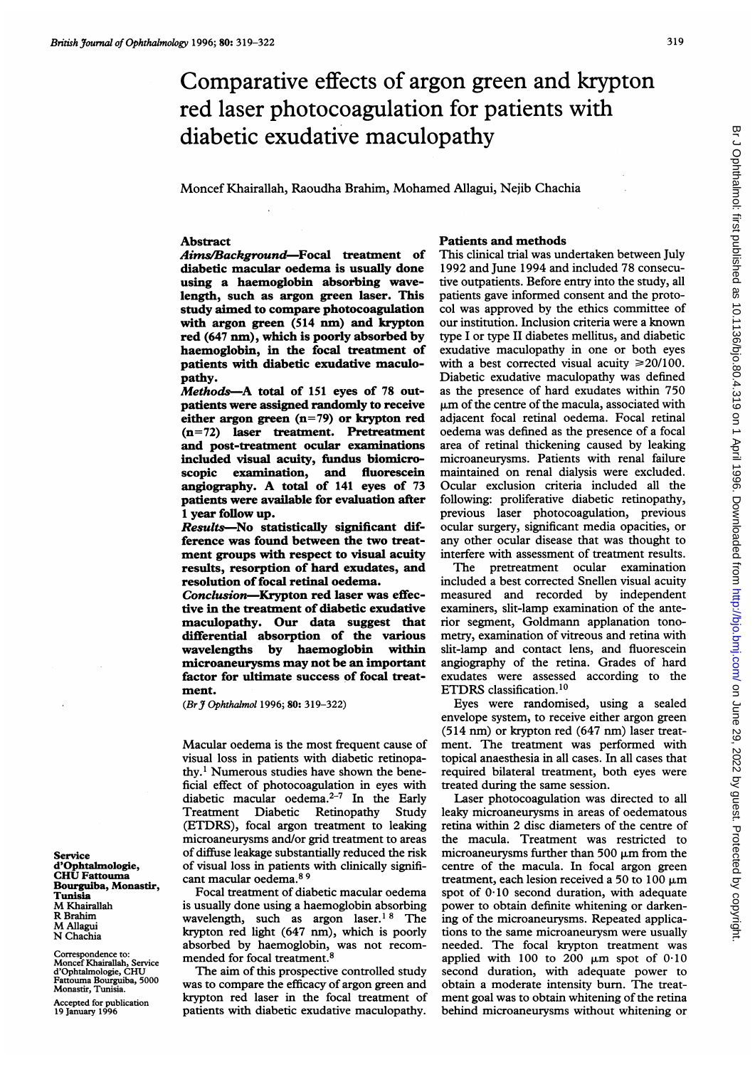# Comparative effects of argon green and krypton red laser photocoagulation for patients with diabetic exudative maculopathy

Moncef Khairallah, Raoudha Brahim, Mohamed Allagui, Nejib Chachia

## Abstract

Aims/Background-Focal treatment of diabetic macular oedema is usually done using a haemoglobin absorbing wavelength, such as argon green laser. This study aimed to compare photocoagulation with argon green (514 nm) and krypton red (647 nm), which is poorly absorbed by haemoglobin, in the focal treatment of patients with diabetic exudative maculopathy.

Methods-A total of 151 eyes of 78 outpatients were assigned randomly to receive either argon green (n=79) or krypton red (n=72) laser treatment. Pretreatment and post-treatment ocular examinations included visual acuity, fundus biomicroscopic examination, and fluorescein angiography. A total of <sup>141</sup> eyes of <sup>73</sup> patients were available for evaluation after <sup>1</sup> year follow up.

Results-No statistically significant difference was found between the two treatment groups with respect to visual acuity results, resorption of hard exudates, and resolution of focal retinal oedema.

Conclusion-Krypton red laser was effective in the treatment of diabetic exudative maculopathy. Our data suggest that differential absorption of the various wavelengths by haemoglobin within microaneurysms may not be an important factor for ultimate success of focal treatment.

(Br J Ophthalmol 1996; 80: 319-322)

Macular oedema is the most frequent cause of visual loss in patients with diabetic retinopathy.1 Numerous studies have shown the beneficial effect of photocoagulation in eyes with diabetic macular oedema.2-7 In the Early Treatment Diabetic Retinopathy Study (ETDRS), focal argon treatment to leaking microaneurysms and/or grid treatment to areas of diffuse leakage substantially reduced the risk of visual loss in patients with clinically significant macular oedema.8 <sup>9</sup>

Focal treatment of diabetic macular oedema is usually done using a haemoglobin absorbing wavelength, such as argon laser.<sup>18</sup> The krypton red light (647 nm), which is poorly absorbed by haemoglobin, was not recommended for focal treatment.8

The aim of this prospective controlled study was to compare the efficacy of argon green and krypton red laser in the focal treatment of patients with diabetic exudative maculopathy.

#### Patients and methods

This clinical trial was undertaken between July 1992 and June 1994 and included 78 consecutive outpatients. Before entry into the study, all patients gave informed consent and the protocol was approved by the ethics committee of our institution. Inclusion criteria were a known type <sup>I</sup> or type II diabetes mellitus, and diabetic exudative maculopathy in one or both eyes with a best corrected visual acuity  $\geq 20/100$ . Diabetic exudative maculopathy was defined as the presence of hard exudates within 750  $\mu$ m of the centre of the macula, associated with adjacent focal retinal oedema. Focal retinal oedema was defined as the presence of a focal area of retinal thickening caused by leaking microaneurysms. Patients with renal failure maintained on renal dialysis were excluded. Ocular exclusion criteria included all the following: proliferative diabetic retinopathy, previous laser photocoagulation, previous ocular surgery, significant media opacities, or any other ocular disease that was thought to interfere with assessment of treatment results.

The pretreatment ocular examination included a best corrected Snellen visual acuity measured and recorded by independent examiners, slit-lamp examination of the anterior segment, Goldmann applanation tonometry, examination of vitreous and retina with slit-lamp and contact lens, and fluorescein angiography of the retina. Grades of hard exudates were assessed according to the ETDRS classification.10

Eyes were randomised, using a sealed envelope system, to receive either argon green (514 nm) or krypton red (647 nm) laser treatment. The treatment was performed with topical anaesthesia in all cases. In all cases that required bilateral treatment, both eyes were treated during the same session.

Laser photocoagulation was directed to all leaky microaneurysms in areas of oedematous retina within 2 disc diameters of the centre of the macula. Treatment was restricted to microaneurysms further than 500  $\mu$ m from the centre of the macula. In focal argon green treatment, each lesion received a 50 to 100  $\mu$ m spot of 0-10 second duration, with adequate power to obtain definite whitening or darkening of the microaneurysms. Repeated applications to the same microaneurysm were usually needed. The focal krypton treatment was applied with 100 to 200  $\mu$ m spot of 0.10 second duration, with adequate power to obtain a moderate intensity burn. The treatment goal was to obtain whitening of the retina behind microaneurysms without whitening or

Service d'Ophtalmologie, CHU Fattouma Bourguiba, Monastir, Tunisia M Khairallah R Brahim M Allagui N Chachia

Correspondence to: Moncef Khairallah, Service d'Ophtalmologie, CHU Fattouma Bourguiba, 5000 Monastir, Tunisia.

Accepted for publication 19 January 1996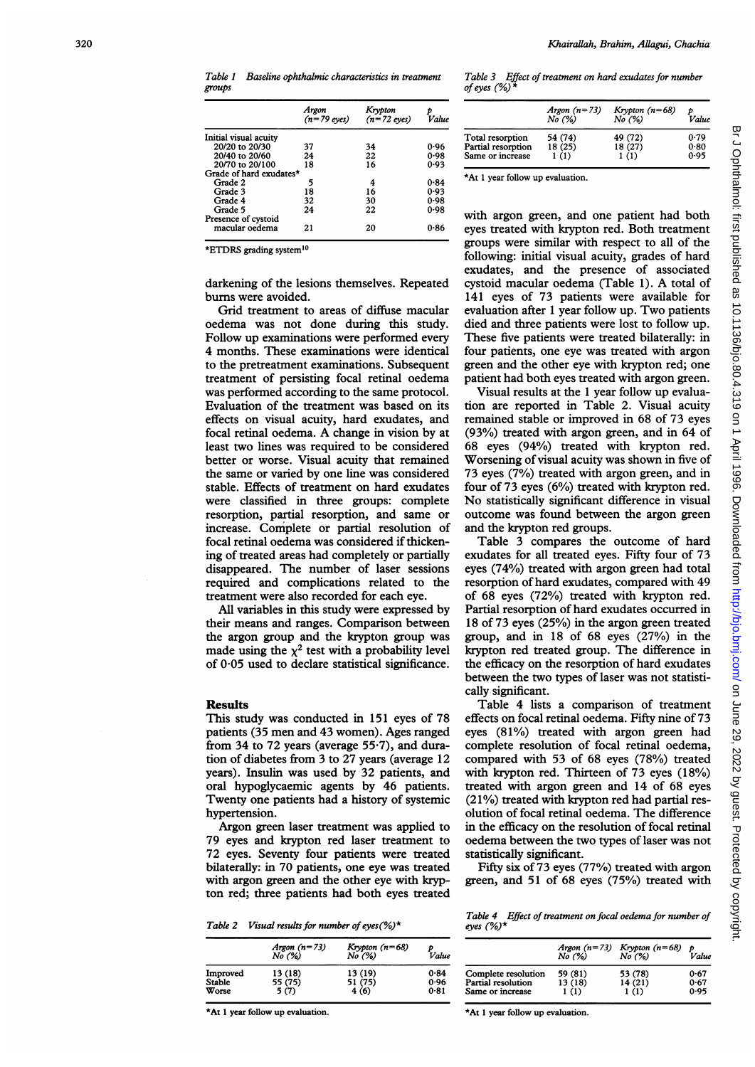Table 1 Baseline ophthalmic characteristics in treatment groups

|                                       | Argon<br>$(n=79$ eyes) | Krypton<br>$(n=72$ eyes) | Value |
|---------------------------------------|------------------------|--------------------------|-------|
| Initial visual acuity                 |                        |                          |       |
| 20/20 to 20/30                        | 37                     | 34                       | 0.96  |
| 20/40 to 20/60                        | 24                     | 22                       | 0.98  |
| 20/70 to 20/100                       | 18                     | 16                       | 0.93  |
| Grade of hard exudates*               |                        |                          |       |
| Grade 2                               | 5                      | 4                        | 0.84  |
| Grade 3                               | 18                     | 16                       | 0.93  |
| Grade 4                               | 32                     | 30                       | 0.98  |
| Grade 5                               | 24                     | 22                       | 0.98  |
| Presence of cystoid<br>macular oedema | 21                     | 20                       | 0.86  |

\*ETDRS grading system'0

darkening of the lesions themselves. Repeated burns were avoided.

Grid treatment to areas of diffuse macular oedema was not done during this study. Follow up examinations were performed every 4 months. These examinations were identical to the pretreatment examinations. Subsequent treatment of persisting focal retinal oedema was performed according to the same protocol. Evaluation of the treatment was based on its effects on visual acuity, hard exudates, and focal retinal oedema. A change in vision by at least two lines was required to be considered better or worse. Visual acuity that remained the same or varied by one line was considered stable. Effects of treatment on hard exudates were classified in three groups: complete resorption, partial resorption, and same or increase. Complete or partial resolution of focal retinal oedema was considered if thickening of treated areas had completely or partially disappeared. The number of laser sessions required and complications related to the treatment were also recorded for each eye.

All variables in this study were expressed by their means and ranges. Comparison between the argon group and the krypton group was made using the  $\chi^2$  test with a probability level of 0 05 used to declare statistical significance.

### **Results**

This study was conducted in 151 eyes of 78 patients (35 men and 43 women). Ages ranged from 34 to 72 years (average  $55·7$ ), and duration of diabetes from 3 to 27 years (average 12 years). Insulin was used by 32 patients, and oral hypoglycaemic agents by 46 patients. Twenty one patients had a history of systemic hypertension.

Argon green laser treatment was applied to 79 eyes and krypton red laser treatment to 72 eyes. Seventy four patients were treated bilaterally: in 70 patients, one eye was treated with argon green and the other eye with krypton red; three patients had both eyes treated

Table 2 Visual results for number of eyes  $(\%)^*$ 

Table 4 Effect of treatment on focal oedema for number of eyes (%o)\*

|          | Argon $(n=73)$<br>No (%) | Krypton $(n=68)$<br>No (%) | Value |
|----------|--------------------------|----------------------------|-------|
| Improved | 13 (18)                  | 13 (19)                    | 0.84  |
| Stable   | 55 (75)                  | 51 (75)                    | 0.96  |
| Worse    | 5 (7)                    | 4(6)                       | 0.81  |

\*At <sup>1</sup> year follow up evaluation.

Table 3 Effect of treatment on hard exudates for number of eyes (%) \*

|                    | Argon $(n=73)$<br>No (%) | Krypton $(n=68)$<br>No (%) | Value |
|--------------------|--------------------------|----------------------------|-------|
| Total resorption   | 54 (74)                  | 49 (72)                    | 0.79  |
| Partial resorption | 18(25)                   | 18(27)                     | 0.80  |
| Same or increase   | 1(1)                     | 1(1)                       | 0.95  |

\*At <sup>1</sup> year follow up evaluation.

with argon green, and one patient had both eyes treated with krypton red. Both treatment groups were similar with respect to all of the following: initial visual acuity, grades of hard exudates, and the presence of associated cystoid macular oedema (Table 1). A total of 141 eyes of 73 patients were available for evaluation after <sup>1</sup> year follow up. Two patients died and three patients were lost to follow up. These five patients were treated bilaterally: in four patients, one eye was treated with argon green and the other eye with krypton red; one patient had both eyes treated with argon green.

Visual results at the <sup>1</sup> year follow up evaluation are reported in Table 2. Visual acuity remained stable or improved in 68 of 73 eyes (93%) treated with argon green, and in 64 of 68 eyes (94%) treated with krypton red. Worsening of visual acuity was shown in five of 73 eyes (7%) treated with argon green, and in four of 73 eyes (6%) treated with krypton red. No statistically significant difference in visual outcome was found between the argon green and the krypton red groups.

Table 3 compares the outcome of hard exudates for all treated eyes. Fifty four of 73 eyes (74%) treated with argon green had total resorption of hard exudates, compared with 49 of 68 eyes (72%) treated with krypton red. Partial resorption of hard exudates occurred in 18 of 73 eyes (25%) in the argon green treated group, and in 18 of 68 eyes (27%) in the krypton red treated group. The difference in the efficacy on the resorption of hard exudates between the two types of laser was not statistically significant.

Table 4 lists a comparison of treatment effects on focal retinal oedema. Fifty nine of 73 eyes (81%) treated with argon green had complete resolution of focal retinal oedema, compared with 53 of 68 eyes (78%) treated with krypton red. Thirteen of 73 eyes (18%) treated with argon green and 14 of 68 eyes (21%) treated with krypton red had partial resolution of focal retinal oedema. The difference in the efficacy on the resolution of focal retinal oedema between the two types of laser was not statistically significant.

Fifty six of 73 eyes (77%) treated with argon green, and 51 of 68 eyes (75%) treated with

Argon (n=73) Krypton (n=68) No (%/6) No (%lo) Value  $\stackrel{\text{\normalsize{p}}}{\text{\normalsize{Value}}}$ complete resolution 59 (81) 53 (78) 0.67<br>Partial resolution 13 (18) 14 (21) 0.67 Partial resolution Same or increase  $\overline{1}$  (1)  $\overline{1(1)}$  $0.95$ 

\*At 1 year follow up evaluation.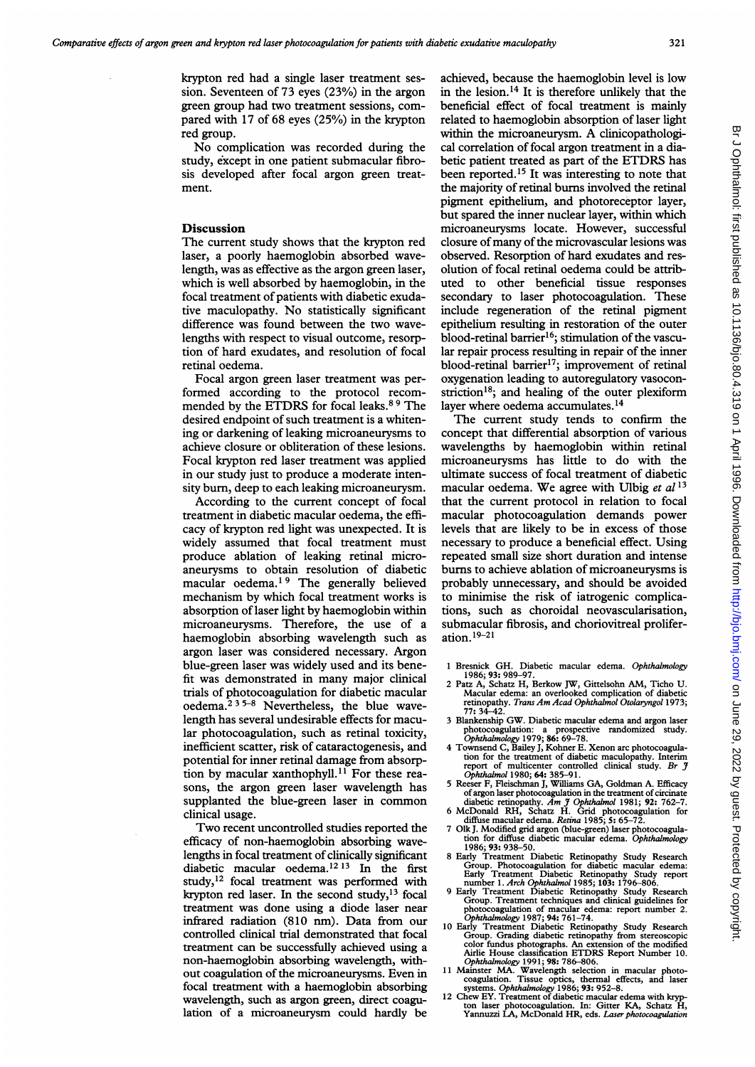krypton red had a single laser treatment session. Seventeen of 73 eyes (23%) in the argon green group had two treatment sessions, compared with 17 of 68 eyes (25%) in the krypton red group.

No complication was recorded during the study, except in one patient submacular fibrosis developed after focal argon green treatment.

## Discussion

The current study shows that the krypton red laser, a poorly haemoglobin absorbed wavelength, was as effective as the argon green laser, which is well absorbed by haemoglobin, in the focal treatment of patients with diabetic exudative maculopathy. No statistically significant difference was found between the two wavelengths with respect to visual outcome, resorption of hard exudates, and resolution of focal retinal oedema.

Focal argon green laser treatment was performed according to the protocol recommended by the ETDRS for focal leaks.<sup>89</sup> The desired endpoint of such treatment is a whitening or darkening of leaking microaneurysms to achieve closure or obliteration of these lesions. Focal krypton red laser treatment was applied in our study just to produce a moderate intensity burn, deep to each leaking microaneurysm.

According to the current concept of focal treatment in diabetic macular oedema, the efficacy of krypton red light was unexpected. It is widely assumed that focal treatment must produce ablation of leaking retinal microaneurysms to obtain resolution of diabetic macular oedema.<sup>19</sup> The generally believed mechanism by which focal treatment works is absorption of laser light by haemoglobin within microaneurysms. Therefore, the use of a haemoglobin absorbing wavelength such as argon laser was considered necessary. Argon blue-green laser was widely used and its benefit was demonstrated in many major clinical trials of photocoagulation for diabetic macular oedema. $235-8$  Nevertheless, the blue wavelength has several undesirable effects for macular photocoagulation, such as retinal toxicity, inefficient scatter, risk of cataractogenesis, and potential for inner retinal damage from absorption by macular xanthophyll.<sup>11</sup> For these reasons, the argon green laser wavelength has supplanted the blue-green laser in common clinical usage.

Two recent uncontrolled studies reported the efficacy of non-haemoglobin absorbing wavelengths in focal treatment of clinically significant diabetic macular oedema.<sup>12 13</sup> In the first study,<sup>12</sup> focal treatment was performed with krypton red laser. In the second study,<sup>13</sup> focal treatment was done using a diode laser near infrared radiation (810 nm). Data from our controlled clinical trial demonstrated that focal treatment can be successfully achieved using a non-haemoglobin absorbing wavelength, without coagulation of the microaneurysms. Even in focal treatment with a haemoglobin absorbing wavelength, such as argon green, direct coagulation of a microaneurysm could hardly be

achieved, because the haemoglobin level is low in the lesion. $14$  It is therefore unlikely that the beneficial effect of focal treatment is mainly related to haemoglobin absorption of laser light within the microaneurysm. A clinicopathological correlation of focal argon treatment in a diabetic patient treated as part of the ETDRS has been reported.<sup>15</sup> It was interesting to note that the majority of retinal burns involved the retinal pigment epithelium, and photoreceptor layer, but spared the inner nuclear layer, within which microaneurysms locate. However, successful closure of many of the microvascular lesions was observed. Resorption of hard exudates and resolution of focal retinal oedema could be attributed to other beneficial tissue responses secondary to laser photocoagulation. These include regeneration of the retinal pigment epithelium resulting in restoration of the outer blood-retinal barrier<sup>16</sup>; stimulation of the vascular repair process resulting in repair of the inner blood-retinal barrier<sup>17</sup>; improvement of retinal oxygenation leading to autoregulatory vasoconstriction<sup>18</sup>; and healing of the outer plexiform layer where oedema accumulates.<sup>14</sup>

The current study tends to confirm the concept that differential absorption of various wavelengths by haemoglobin within retinal microaneurysms has little to do with the ultimate success of focal treatment of diabetic macular oedema. We agree with Ulbig et  $al<sup>13</sup>$ that the current protocol in relation to focal macular photocoagulation demands power levels that are likely to be in excess of those necessary to produce a beneficial effect. Using repeated small size short duration and intense burns to achieve ablation of microaneurysms is probably unnecessary, and should be avoided to minimise the risk of iatrogenic complications, such as choroidal neovascularisation, submacular fibrosis, and choriovitreal proliferation. 19-21

- <sup>1</sup> Bresnick GH. Diabetic macular edema. Ophthalmology
- 1986; 93: 989-97. 2 Patz A, Schatz H, Berkow JW, Gittelsohn AM, Ticho U. Macular edema: an overlooked complication of diabetic retinopathy. Trans Am Acad Ophthalmol Otolaryngol 1973;
- 77: 34-42. <sup>3</sup> Blankenship GW. Diabetic macular edema and argon laser photocoagulation: a prospective randomized study. Ophthalmology 1979; 86: 69-78. 4 Townsend C, Bailey J, Kohner E. Xenon arc photocoagula-
- tion for the treatment of diabetic maculopathy. Interim<br>report of multicenter controlled clinical study. Br J<br>Ophthalmol 1980; 64: 385–91.<br>5 Reeser F, Fleischman J, Williams GA, Goldman A. Efficacy
- of argon laser photocoagulation in the treatment of cricinate<br>diabetic retinopathy. Am J Ophthalmol 1981; 92: 762–7.<br>6 McDonald RH, Schatz H. Grid photocoagulation for<br>diffuse macular edema. Retina 1985; 5: 65–72.<br>7 Olk J.
- 
- 1986; 93: 938-50.
- 8 Early Treatment Diabetic Retinopathy Study Research<br>
Group. Photocogyllation for diabetic macular edema:<br>
Early Treatment Diabetic Retinopathy Study report<br>
number 1. Arch Ophthalmol 1985; 103: 1796–806.<br>
9 Early Treatme
- photocoagulation of macular edema: report number 2.<br>Ophthalmology 1987; 94: 761–74.
- 10 Early Treatment Diabetic Retinopathy Study Research<br>
Group. Grading diabetic retinopathy from streeosopic<br>
color fundus photographs. An extension of the modified<br>
Airlie House classification ETDRS Report Number 10.<br> *Op*
- 
-